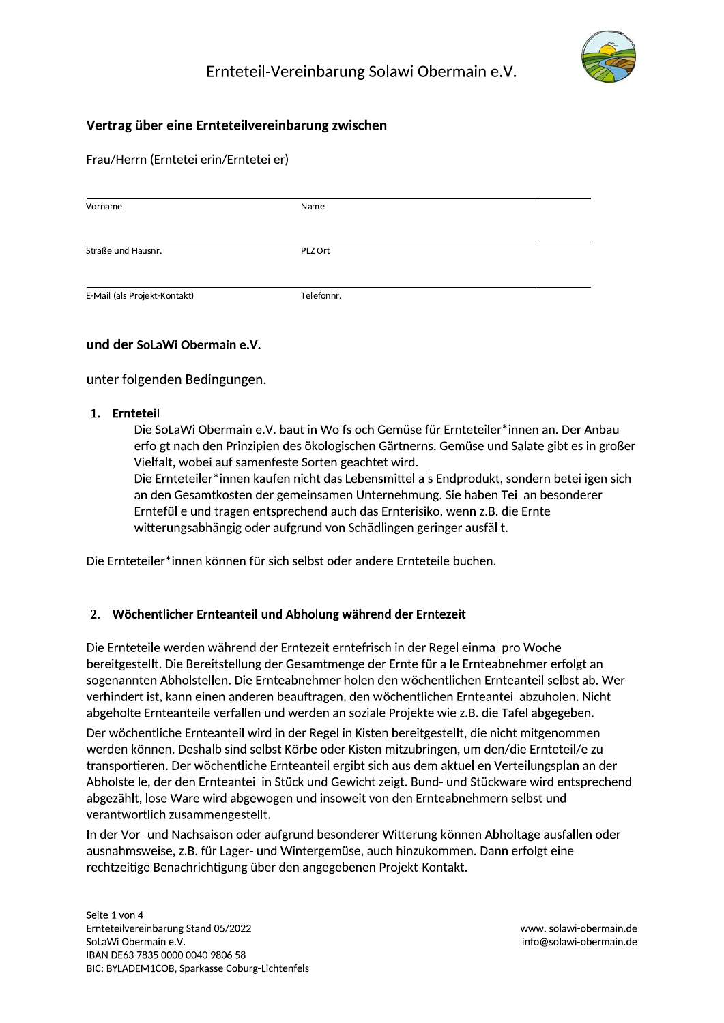

# Vertrag über eine Ernteteilvereinbarung zwischen

Frau/Herrn (Ernteteilerin/Ernteteiler)

| Vorname                      | Name       |  |
|------------------------------|------------|--|
|                              |            |  |
|                              |            |  |
| Straße und Hausnr.           | PLZ Ort    |  |
|                              |            |  |
| E-Mail (als Projekt-Kontakt) | Telefonnr. |  |

# und der SoLaWi Obermain e.V.

unter folgenden Bedingungen.

### 1. Ernteteil

Die SoLaWi Obermain e.V. baut in Wolfsloch Gemüse für Ernteteiler\*innen an. Der Anbau erfolgt nach den Prinzipien des ökologischen Gärtnerns. Gemüse und Salate gibt es in großer Vielfalt, wobei auf samenfeste Sorten geachtet wird.

Die Ernteteiler\*innen kaufen nicht das Lebensmittel als Endprodukt, sondern beteiligen sich an den Gesamtkosten der gemeinsamen Unternehmung. Sie haben Teil an besonderer Erntefülle und tragen entsprechend auch das Ernterisiko, wenn z.B. die Ernte witterungsabhängig oder aufgrund von Schädlingen geringer ausfällt.

Die Ernteteiler\*innen können für sich selbst oder andere Ernteteile buchen.

# 2. Wöchentlicher Ernteanteil und Abholung während der Erntezeit

Die Ernteteile werden während der Erntezeit erntefrisch in der Regel einmal pro Woche bereitgestellt. Die Bereitstellung der Gesamtmenge der Ernte für alle Ernteabnehmer erfolgt an sogenannten Abholstellen. Die Ernteabnehmer holen den wöchentlichen Ernteanteil selbst ab. Wer verhindert ist, kann einen anderen beauftragen, den wöchentlichen Ernteanteil abzuholen. Nicht abgeholte Ernteanteile verfallen und werden an soziale Projekte wie z.B. die Tafel abgegeben.

Der wöchentliche Ernteanteil wird in der Regel in Kisten bereitgestellt, die nicht mitgenommen werden können. Deshalb sind selbst Körbe oder Kisten mitzubringen, um den/die Ernteteil/e zu transportieren. Der wöchentliche Ernteanteil ergibt sich aus dem aktuellen Verteilungsplan an der Abholstelle, der den Ernteanteil in Stück und Gewicht zeigt. Bund- und Stückware wird entsprechend abgezählt, lose Ware wird abgewogen und insoweit von den Ernteabnehmern selbst und verantwortlich zusammengestellt.

In der Vor- und Nachsaison oder aufgrund besonderer Witterung können Abholtage ausfallen oder ausnahmsweise, z.B. für Lager- und Wintergemüse, auch hinzukommen. Dann erfolgt eine rechtzeitige Benachrichtigung über den angegebenen Projekt-Kontakt.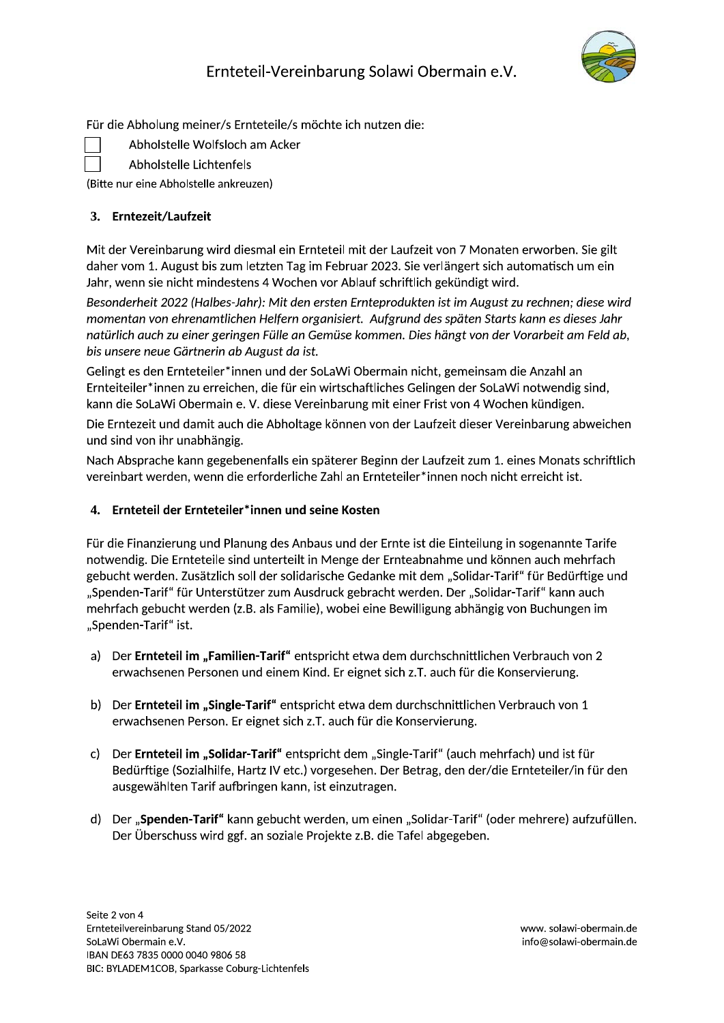

Für die Abholung meiner/s Ernteteile/s möchte ich nutzen die:

Abholstelle Wolfsloch am Acker

Abholstelle Lichtenfels

(Bitte nur eine Abholstelle ankreuzen)

# 3. Erntezeit/Laufzeit

Mit der Vereinbarung wird diesmal ein Ernteteil mit der Laufzeit von 7 Monaten erworben. Sie gilt daher vom 1. August bis zum letzten Tag im Februar 2023. Sie verlängert sich automatisch um ein Jahr, wenn sie nicht mindestens 4 Wochen vor Ablauf schriftlich gekündigt wird.

Besonderheit 2022 (Halbes-Jahr): Mit den ersten Ernteprodukten ist im August zu rechnen; diese wird momentan von ehrenamtlichen Helfern organisiert. Aufgrund des späten Starts kann es dieses Jahr natürlich auch zu einer geringen Fülle an Gemüse kommen. Dies hängt von der Vorarbeit am Feld ab, bis unsere neue Gärtnerin ab August da ist.

Gelingt es den Ernteteiler\*innen und der SoLaWi Obermain nicht, gemeinsam die Anzahl an Ernteiteiler\*innen zu erreichen, die für ein wirtschaftliches Gelingen der SoLaWi notwendig sind, kann die SoLaWi Obermain e. V. diese Vereinbarung mit einer Frist von 4 Wochen kündigen.

Die Erntezeit und damit auch die Abholtage können von der Laufzeit dieser Vereinbarung abweichen und sind von ihr unabhängig.

Nach Absprache kann gegebenenfalls ein späterer Beginn der Laufzeit zum 1. eines Monats schriftlich vereinbart werden, wenn die erforderliche Zahl an Ernteteiler\*innen noch nicht erreicht ist.

# 4. Ernteteil der Ernteteiler\*innen und seine Kosten

Für die Finanzierung und Planung des Anbaus und der Ernte ist die Einteilung in sogenannte Tarife notwendig. Die Ernteteile sind unterteilt in Menge der Ernteabnahme und können auch mehrfach gebucht werden. Zusätzlich soll der solidarische Gedanke mit dem "Solidar-Tarif" für Bedürftige und "Spenden-Tarif" für Unterstützer zum Ausdruck gebracht werden. Der "Solidar-Tarif" kann auch mehrfach gebucht werden (z.B. als Familie), wobei eine Bewilligung abhängig von Buchungen im "Spenden-Tarif" ist.

- a) Der Ernteteil im "Familien-Tarif" entspricht etwa dem durchschnittlichen Verbrauch von 2 erwachsenen Personen und einem Kind. Er eignet sich z.T. auch für die Konservierung.
- b) Der Ernteteil im "Single-Tarif" entspricht etwa dem durchschnittlichen Verbrauch von 1 erwachsenen Person. Er eignet sich z.T. auch für die Konservierung.
- Der Ernteteil im "Solidar-Tarif" entspricht dem "Single-Tarif" (auch mehrfach) und ist für  $c$ ) Bedürftige (Sozialhilfe, Hartz IV etc.) vorgesehen. Der Betrag, den der/die Ernteteiler/in für den ausgewählten Tarif aufbringen kann, ist einzutragen.
- d) Der "Spenden-Tarif" kann gebucht werden, um einen "Solidar-Tarif" (oder mehrere) aufzufüllen. Der Überschuss wird ggf. an soziale Projekte z.B. die Tafel abgegeben.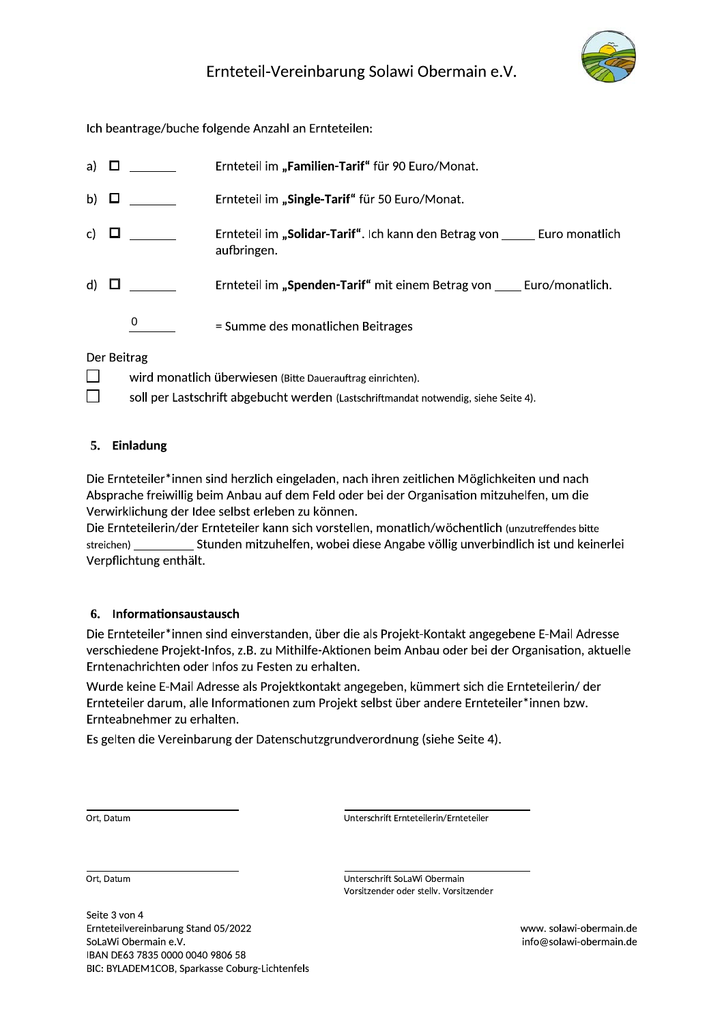

Ich beantrage/buche folgende Anzahl an Ernteteilen:

| a)           | Ш |   | Ernteteil im "Familien-Tarif" für 90 Euro/Monat.                                    |  |  |
|--------------|---|---|-------------------------------------------------------------------------------------|--|--|
| b)           | ப |   | Ernteteil im "Single-Tarif" für 50 Euro/Monat.                                      |  |  |
| $\mathsf{c}$ |   |   | Ernteteil im "Solidar-Tarif". Ich kann den Betrag von Euro monatlich<br>aufbringen. |  |  |
| d)           |   |   | Ernteteil im "Spenden-Tarif" mit einem Betrag von Euro/monatlich.                   |  |  |
|              |   | 0 | = Summe des monatlichen Beitrages                                                   |  |  |
| Der Reitrag  |   |   |                                                                                     |  |  |

### Der Beltrag

 $\Box$ wird monatlich überwiesen (Bitte Dauerauftrag einrichten).

 $\Box$ soll per Lastschrift abgebucht werden (Lastschriftmandat notwendig, siehe Seite 4).

# 5. Einladung

Die Ernteteiler\*innen sind herzlich eingeladen, nach ihren zeitlichen Möglichkeiten und nach Absprache freiwillig beim Anbau auf dem Feld oder bei der Organisation mitzuhelfen, um die Verwirklichung der Idee selbst erleben zu können.

Die Ernteteilerin/der Ernteteiler kann sich vorstellen, monatlich/wöchentlich (unzutreffendes bitte Stunden mitzuhelfen, wobei diese Angabe völlig unverbindlich ist und keinerlei streichen) Verpflichtung enthält.

# 6. Informationsaustausch

Die Ernteteiler\*innen sind einverstanden, über die als Projekt-Kontakt angegebene E-Mail Adresse verschiedene Projekt-Infos, z.B. zu Mithilfe-Aktionen beim Anbau oder bei der Organisation, aktuelle Erntenachrichten oder Infos zu Festen zu erhalten.

Wurde keine E-Mail Adresse als Projektkontakt angegeben, kümmert sich die Ernteteilerin/der Ernteteiler darum, alle Informationen zum Projekt selbst über andere Ernteteiler\*innen bzw. Ernteabnehmer zu erhalten.

Es gelten die Vereinbarung der Datenschutzgrundverordnung (siehe Seite 4).

Ort, Datum

Unterschrift Ernteteilerin/Ernteteiler

Ort, Datum

Seite 3 von 4 Ernteteilvereinbarung Stand 05/2022 SoLaWi Obermain e.V. IBAN DE63 7835 0000 0040 9806 58 BIC: BYLADEM1COB, Sparkasse Coburg-Lichtenfels Unterschrift SoLaWi Obermain Vorsitzender oder stellv. Vorsitzender

> www.solawi-obermain.de info@solawi-obermain.de